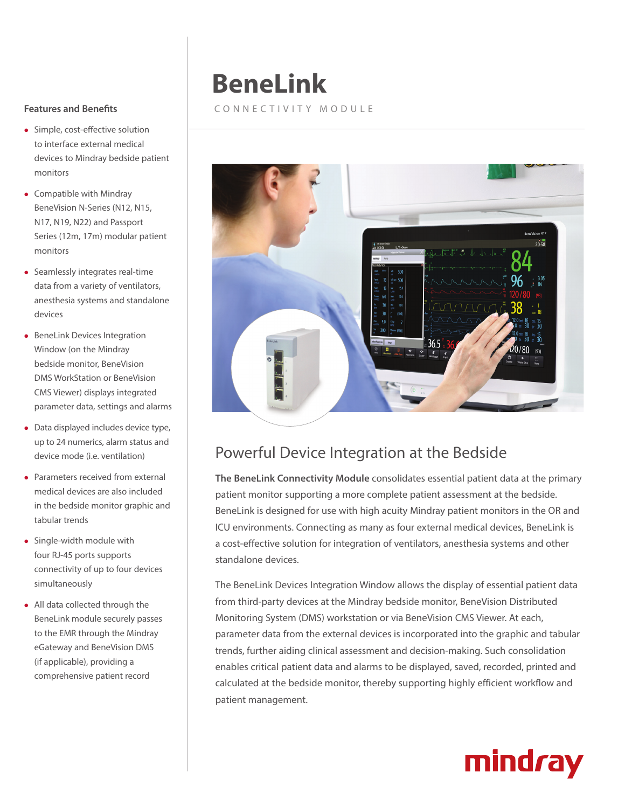#### **Features and Benefits**

- Simple, cost-effective solution to interface external medical devices to Mindray bedside patient monitors
- $\bullet$  Compatible with Mindray BeneVision N-Series (N12, N15, N17, N19, N22) and Passport Series (12m, 17m) modular patient monitors
- Seamlessly integrates real-time data from a variety of ventilators, anesthesia systems and standalone devices
- **•** BeneLink Devices Integration Window (on the Mindray bedside monitor, BeneVision DMS WorkStation or BeneVision CMS Viewer) displays integrated parameter data, settings and alarms
- $\bullet$  Data displayed includes device type, up to 24 numerics, alarm status and device mode (i.e. ventilation)
- Parameters received from external medical devices are also included in the bedside monitor graphic and tabular trends
- Single-width module with four RJ-45 ports supports connectivity of up to four devices simultaneously
- All data collected through the BeneLink module securely passes to the EMR through the Mindray eGateway and BeneVision DMS (if applicable), providing a comprehensive patient record

## **BeneLink**

#### CONNECTIVITY MODULE



### Powerful Device Integration at the Bedside

**The BeneLink Connectivity Module** consolidates essential patient data at the primary patient monitor supporting a more complete patient assessment at the bedside. BeneLink is designed for use with high acuity Mindray patient monitors in the OR and ICU environments. Connecting as many as four external medical devices, BeneLink is a cost-effective solution for integration of ventilators, anesthesia systems and other standalone devices.

The BeneLink Devices Integration Window allows the display of essential patient data from third-party devices at the Mindray bedside monitor, BeneVision Distributed Monitoring System (DMS) workstation or via BeneVision CMS Viewer. At each, parameter data from the external devices is incorporated into the graphic and tabular trends, further aiding clinical assessment and decision-making. Such consolidation enables critical patient data and alarms to be displayed, saved, recorded, printed and calculated at the bedside monitor, thereby supporting highly efficient workflow and patient management.